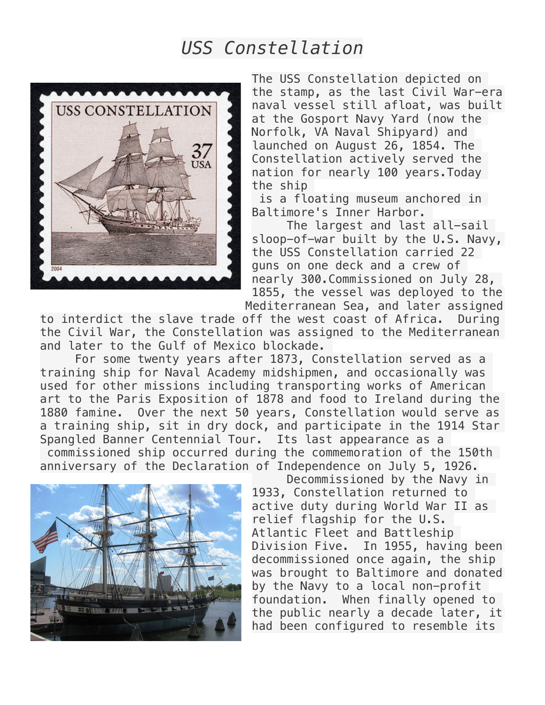## *USS Constellation*



The USS Constellation depicted on the stamp, as the last Civil War-era naval vessel still afloat, was built at the Gosport Navy Yard (now the Norfolk, VA Naval Shipyard) and launched on August 26, 1854. The Constellation actively served the nation for nearly 100 years.Today the ship

 is a floating museum anchored in Baltimore's Inner Harbor.

 The largest and last all-sail sloop-of-war built by the U.S. Navy, the USS Constellation carried 22 guns on one deck and a crew of nearly 300.Commissioned on July 28, 1855, the vessel was deployed to the Mediterranean Sea, and later assigned

to interdict the slave trade off the west coast of Africa. During the Civil War, the Constellation was assigned to the Mediterranean and later to the Gulf of Mexico blockade.

 For some twenty years after 1873, Constellation served as a training ship for Naval Academy midshipmen, and occasionally was used for other missions including transporting works of American art to the Paris Exposition of 1878 and food to Ireland during the 1880 famine. Over the next 50 years, Constellation would serve as a training ship, sit in dry dock, and participate in the 1914 Star Spangled Banner Centennial Tour. Its last appearance as a commissioned ship occurred during the commemoration of the 150th anniversary of the Declaration of Independence on July 5, 1926.



 Decommissioned by the Navy in 1933, Constellation returned to active duty during World War II as relief flagship for the U.S. Atlantic Fleet and Battleship Division Five. In 1955, having been decommissioned once again, the ship was brought to Baltimore and donated by the Navy to a local non-profit foundation. When finally opened to the public nearly a decade later, it had been configured to resemble its